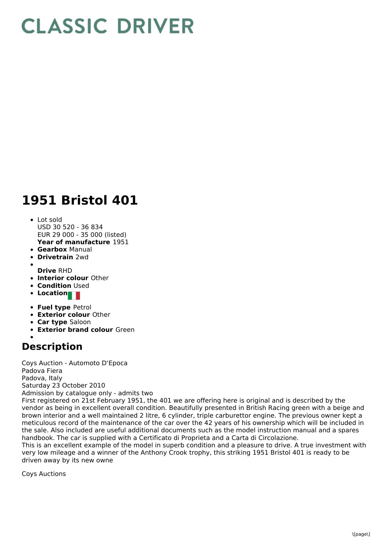## **CLASSIC DRIVER**

## **1951 Bristol 401**

## **Year of manufacture** 1951 • Lot sold USD 30 520 - 36 834 EUR 29 000 - 35 000 (listed)

- **Gearbox** Manual
- **Drivetrain** 2wd
- **Drive** RHD
- **Interior colour** Other
- **Condition Used**
- **Location**
- 
- **Fuel type** Petrol
- **Exterior colour** Other
- **Car type** Saloon
- **Exterior brand colour** Green

## **Description**

Coys Auction - Automoto D'Epoca Padova Fiera Padova, Italy Saturday 23 October 2010 Admission by catalogue only - admits two First registered on 21st February 1951, the 401 we are offering here is original and is described by the vendor as being in excellent overall condition. Beautifully presented in British Racing green with a beige and brown interior and a well maintained 2 litre, 6 cylinder, triple carburettor engine. The previous owner kept a meticulous record of the maintenance of the car over the 42 years of his ownership which will be included in the sale. Also included are useful additional documents such as the model instruction manual and a spares handbook. The car is supplied with a Certificato di Proprieta and a Carta di Circolazione.

This is an excellent example of the model in superb condition and a pleasure to drive. A true investment with very low mileage and a winner of the Anthony Crook trophy, this striking 1951 Bristol 401 is ready to be driven away by its new owne

Coys Auctions